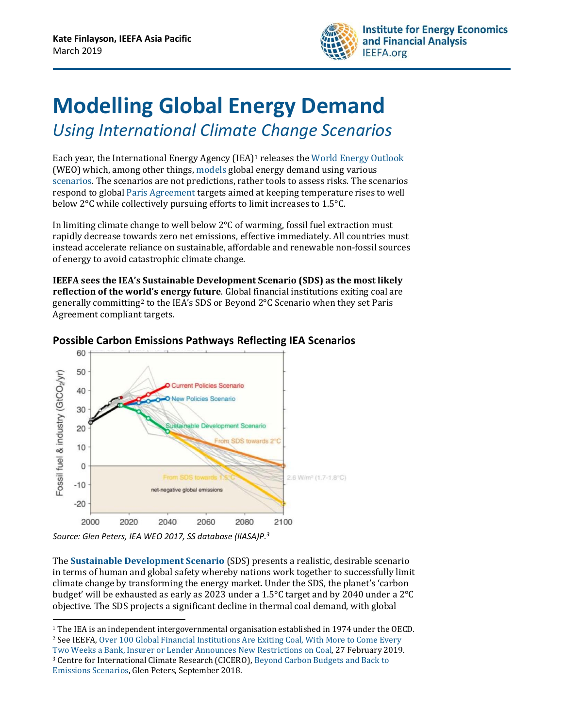

## **Modelling Global Energy Demand**  *Using International Climate Change Scenarios*

Each year, the International Energy Agency (IEA) <sup>1</sup> releases the [World Energy Outlook](https://www.iea.org/weo/) (WEO) which, among other things, [models](https://www.iea.org/weo/weomodel/) global energy demand using various [scenarios.](https://www.iea.org/weo/weomodel/) The scenarios are not predictions, rather tools to assess risks. The scenarios respond to global [Paris Agreement](https://unfccc.int/process-and-meetings/the-paris-agreement/the-paris-agreement) targets aimed at keeping temperature rises to well below 2°C while collectively pursuing efforts to limit increases to 1.5°C.

In limiting climate change to well below 2°C of warming, fossil fuel extraction must rapidly decrease towards zero net emissions, effective immediately. All countries must instead accelerate reliance on sustainable, affordable and renewable non-fossil sources of energy to avoid catastrophic climate change.

**IEEFA sees the IEA's Sustainable Development Scenario (SDS) as the most likely reflection of the world's energy future**. Global financial institutions exiting coal are generally committing<sup>2</sup> to the IEA's SDS or Beyond 2°C Scenario when they set Paris Agreement compliant targets.



## **Possible Carbon Emissions Pathways Reflecting IEA Scenarios**

 $\overline{a}$ 

The **Sustainable Development Scenario** (SDS) presents a realistic, desirable scenario in terms of human and global safety whereby nations work together to successfully limit climate change by transforming the energy market. Under the SDS, the planet's 'carbon budget' will be exhausted as early as 2023 under a 1.5°C target and by 2040 under a 2°C objective. The SDS projects a significant decline in thermal coal demand, with global

*Source: Glen Peters, IEA WEO 2017, SS database (IIASA)P. 3*

<sup>&</sup>lt;sup>1</sup> The IEA is an independent intergovernmental organisation established in 1974 under the OECD. <sup>2</sup> See IEEFA, Over 100 Global Financial Institutions Are Exiting Coal, With More to Come Every

[Two Weeks a Bank, Insurer or Lender Announces New Restrictions on Coal,](http://ieefa.org/wp-content/uploads/2019/02/IEEFA-Report_100-and-counting_Coal-Exit_Feb-2019.pdf) 27 February 2019. <sup>3</sup> Centre for International Climate Research (CICERO)[, Beyond Carbon Budgets and Back to](https://www.slideshare.net/GlenPeters_CICERO/beyond-carbon-budgets-back-to-emission-scenarios/33)  [Emissions Scenarios,](https://www.slideshare.net/GlenPeters_CICERO/beyond-carbon-budgets-back-to-emission-scenarios/33) Glen Peters, September 2018.